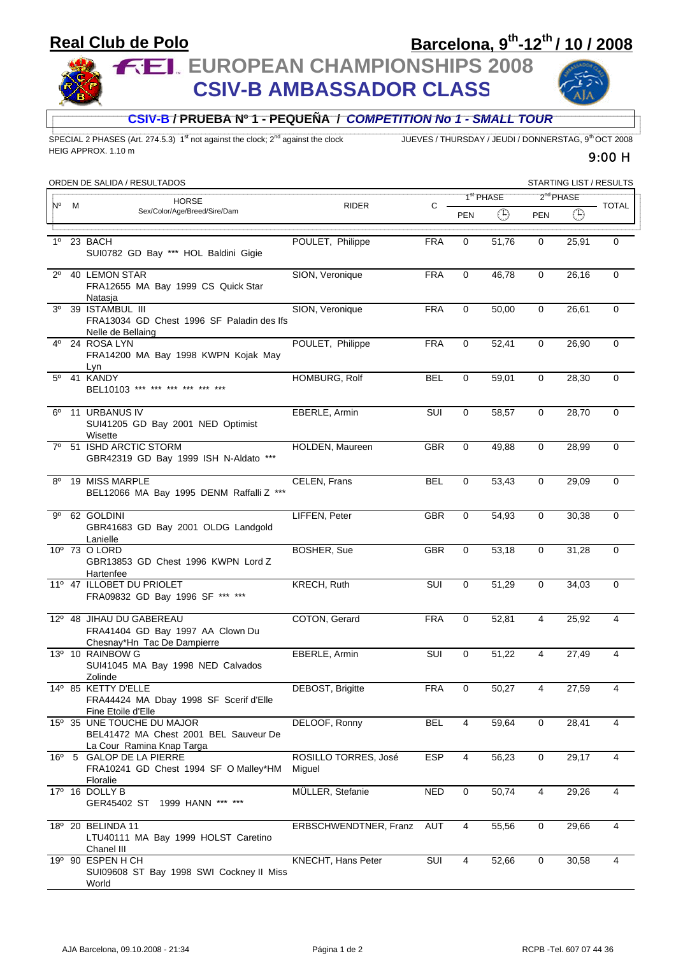## **Real Club de Polo**

# **Barcelona, 9th-12th / 10 / 2008**

**EUROPEAN CHAMPIONSHIPS 2008 CSIV-B AMBASSADOR CLASS**



### **CSIV-B / PRUEBA Nº 1 - PEQUEÑA /** *COMPETITION No 1 - SMALL TOUR*

SPECIAL 2 PHASES (Art. 274.5.3) 1st not against the clock; 2<sup>nd</sup> against the clock JUEVES / THURSDAY / JEUDI / DONNERSTAG, 9<sup>th</sup> OCT 2008 HEIG APPROX. 1.10 m

#### 9:00 H

|             | STARTING LIST / RESULTS<br>ORDEN DE SALIDA / RESULTADOS |                                                                                                  |                                |            |                       |                    |                       |       |         |
|-------------|---------------------------------------------------------|--------------------------------------------------------------------------------------------------|--------------------------------|------------|-----------------------|--------------------|-----------------------|-------|---------|
| N٥          | M                                                       | <b>HORSE</b><br>Sex/Color/Age/Breed/Sire/Dam                                                     | <b>RIDER</b>                   | C          | 1 <sup>st</sup> PHASE |                    | 2 <sup>nd</sup> PHASE |       |         |
|             |                                                         |                                                                                                  |                                |            | <b>PEN</b>            | $\bigoplus$        | <b>PEN</b>            | ⊕     | - TOTAL |
| $1^{\circ}$ |                                                         | 23 BACH<br>SUI0782 GD Bay *** HOL Baldini Gigie                                                  | POULET, Philippe               | <b>FRA</b> | 0                     | 51,76              | $\mathbf 0$           | 25,91 | 0       |
| $2^{\circ}$ |                                                         | 40 LEMON STAR<br>FRA12655 MA Bay 1999 CS Quick Star<br>Natasja                                   | SION, Veronique                | <b>FRA</b> | 0                     | 46,78              | 0                     | 26,16 | 0       |
| $3^{\circ}$ |                                                         | 39 ISTAMBUL III<br>FRA13034 GD Chest 1996 SF Paladin des lfs<br>Nelle de Bellaing                | SION, Veronique                | <b>FRA</b> | 0                     | 50,00              | $\mathbf 0$           | 26,61 | 0       |
| 40          |                                                         | 24 ROSA LYN<br>FRA14200 MA Bay 1998 KWPN Kojak May<br>Lyn                                        | POULET, Philippe               | <b>FRA</b> | 0                     | $\overline{52,41}$ | $\mathbf 0$           | 26,90 | 0       |
| 5°          |                                                         | 41 KANDY<br>BEL10103 *** *** *** ***                                                             | HOMBURG, Rolf                  | <b>BEL</b> | 0                     | 59,01              | $\mathbf 0$           | 28,30 | 0       |
| $6^{\circ}$ |                                                         | 11 URBANUS IV<br>SUI41205 GD Bay 2001 NED Optimist<br>Wisette                                    | EBERLE, Armin                  | SUI        | $\mathbf 0$           | 58,57              | $\mathbf 0$           | 28,70 | 0       |
| 7º          |                                                         | 51 ISHD ARCTIC STORM<br>GBR42319 GD Bay 1999 ISH N-Aldato ***                                    | HOLDEN, Maureen                | <b>GBR</b> | 0                     | 49,88              | 0                     | 28,99 | 0       |
| 8°          |                                                         | 19 MISS MARPLE<br>BEL12066 MA Bay 1995 DENM Raffalli Z ***                                       | CELEN, Frans                   | <b>BEL</b> | 0                     | 53,43              | $\mathbf 0$           | 29,09 | 0       |
|             |                                                         | 9º 62 GOLDINI<br>GBR41683 GD Bay 2001 OLDG Landgold<br>Lanielle                                  | LIFFEN, Peter                  | <b>GBR</b> | 0                     | 54,93              | $\mathbf 0$           | 30,38 | 0       |
|             |                                                         | 10° 73 O LORD<br>GBR13853 GD Chest 1996 KWPN Lord Z<br>Hartenfee                                 | <b>BOSHER, Sue</b>             | <b>GBR</b> | 0                     | 53,18              | $\mathbf 0$           | 31,28 | 0       |
|             |                                                         | 11º 47 ILLOBET DU PRIOLET<br>FRA09832 GD Bay 1996 SF *** ***                                     | KRECH, Ruth                    | SUI        | 0                     | 51,29              | $\mathbf 0$           | 34,03 | 0       |
|             |                                                         | 12º 48 JIHAU DU GABEREAU<br>FRA41404 GD Bay 1997 AA Clown Du<br>Chesnay*Hn Tac De Dampierre      | COTON, Gerard                  | <b>FRA</b> | 0                     | 52,81              | 4                     | 25,92 | 4       |
|             |                                                         | 13º 10 RAINBOW G<br>SUI41045 MA Bay 1998 NED Calvados<br>Zolinde                                 | EBERLE, Armin                  | SUI        | $\mathbf 0$           | 51,22              | 4                     | 27,49 | 4       |
|             |                                                         | 14º 85 KETTY D'ELLE<br>FRA44424 MA Dbay 1998 SF Scerif d'Elle<br>Fine Etoile d'Elle              | DEBOST, Brigitte               | <b>FRA</b> | 0                     | 50,27              | 4                     | 27,59 | 4       |
|             |                                                         | 15° 35 UNE TOUCHE DU MAJOR<br>BEL41472 MA Chest 2001 BEL Sauveur De<br>La Cour Ramina Knap Targa | DELOOF, Ronny                  | <b>BEL</b> | 4                     | 59,64              | $\mathbf 0$           | 28,41 | 4       |
|             |                                                         | 16º 5 GALOP DE LA PIERRE<br>FRA10241 GD Chest 1994 SF O Malley*HM<br>Floralie                    | ROSILLO TORRES, José<br>Miguel | ESP        | 4                     | 56,23              | 0                     | 29,17 | 4       |
|             |                                                         | 17º 16 DOLLY B<br>GER45402 ST 1999 HANN *** ***                                                  | MÜLLER, Stefanie               | <b>NED</b> | 0                     | 50,74              | 4                     | 29,26 | 4       |
|             |                                                         | 18º 20 BELINDA 11<br>LTU40111 MA Bay 1999 HOLST Caretino<br>Chanel III                           | ERBSCHWENDTNER, Franz          | AUT        | 4                     | 55,56              | 0                     | 29,66 | 4       |
|             |                                                         | 19° 90 ESPEN H CH<br>SUI09608 ST Bay 1998 SWI Cockney II Miss<br>World                           | KNECHT, Hans Peter             | SUI        | 4                     | 52,66              | 0                     | 30,58 | 4       |